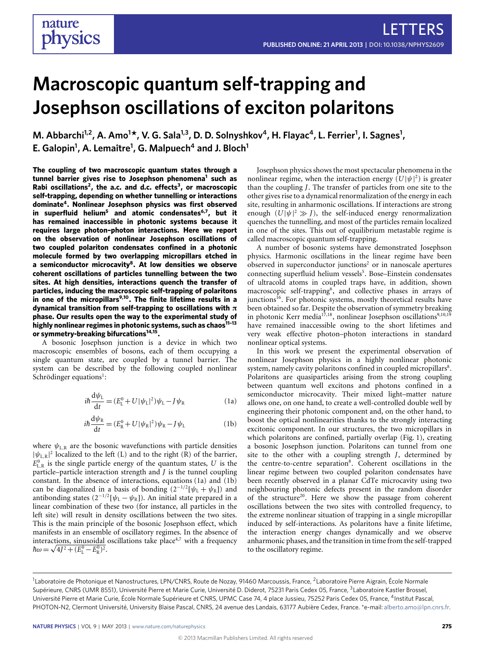# **Macroscopic quantum self-trapping and Josephson oscillations of exciton polaritons**

**M. Abbarchi1,2, A. Amo<sup>1</sup> \*, V. G. Sala1,3, D. D. Solnyshkov<sup>4</sup> , H. Flayac<sup>4</sup> , L. Ferrier<sup>1</sup> , I. Sagnes<sup>1</sup> , E. Galopin<sup>1</sup> , A. Lemaître<sup>1</sup> , G. Malpuech<sup>4</sup> and J. Bloch<sup>1</sup>**

**The coupling of two macroscopic quantum states through a tunnel barrier gives rise to Josephson phenomena[1](#page-3-0) such as Rabi oscillations[2](#page-4-0) , the a.c. and d.c. effects[3](#page-4-1) , or macroscopic self-trapping, depending on whether tunnelling or interactions dominate[4](#page-4-2) . Nonlinear Josephson physics was first observed in superfluid helium[5](#page-4-3) and atomic condensates[6](#page-4-4)[,7](#page-4-5) , but it has remained inaccessible in photonic systems because it requires large photon–photon interactions. Here we report on the observation of nonlinear Josephson oscillations of two coupled polariton condensates confined in a photonic molecule formed by two overlapping micropillars etched in a semiconductor microcavity[8](#page-4-6) . At low densities we observe coherent oscillations of particles tunnelling between the two sites. At high densities, interactions quench the transfer of particles, inducing the macroscopic self-trapping of polaritons in one of the micropillars[9,](#page-4-7)[10](#page-4-8). The finite lifetime results in a dynamical transition from self-trapping to oscillations with** π **phase. Our results open the way to the experimental study of highly nonlinear regimes in photonic systems, such as chaos[11–](#page-4-9)[13](#page-4-10) or symmetry-breaking bifurcations[14,](#page-4-11)[15](#page-4-12) .**

A bosonic Josephson junction is a device in which two macroscopic ensembles of bosons, each of them occupying a single quantum state, are coupled by a tunnel barrier. The system can be described by the following coupled nonlinear Schrödinger equations<sup>[1](#page-3-0)</sup>:

$$
i\hbar \frac{\mathrm{d}\psi_{\mathrm{L}}}{\mathrm{d}t} = (E_{\mathrm{L}}^{0} + U|\psi_{\mathrm{L}}|^{2})\psi_{\mathrm{L}} - J\psi_{\mathrm{R}}
$$
 (1a)

$$
i\hbar \frac{\mathrm{d}\psi_{\mathrm{R}}}{\mathrm{d}t} = (E_{\mathrm{R}}^{0} + U|\psi_{\mathrm{R}}|^{2})\psi_{\mathrm{R}} - J\psi_{\mathrm{L}} \tag{1b}
$$

<span id="page-0-1"></span><span id="page-0-0"></span>where  $\psi_{\text{L,R}}$  are the bosonic wavefunctions with particle densities  $|\psi_{L,R}|^2$  localized to the left (L) and to the right (R) of the barrier,  $E_{\text{L,R}}^0$  is the single particle energy of the quantum states, *U* is the particle–particle interaction strength and *J* is the tunnel coupling constant. In the absence of interactions, equations [\(1a\)](#page-0-0) and [\(1b\)](#page-0-1) can be diagonalized in a basis of bonding  $(2^{-1/2}[\psi_L + \psi_R])$  and antibonding states  $(2^{-1/2}[\psi_L - \psi_R])$ . An initial state prepared in a linear combination of these two (for instance, all particles in the left site) will result in density oscillations between the two sites. This is the main principle of the bosonic Josephson effect, which manifests in an ensemble of oscillatory regimes. In the absence of interactions, sinusoidal oscillations take place<sup>[4,](#page-4-2)[7](#page-4-5)</sup> with a frequency  $\hbar\omega = \sqrt{4J^2 + (E_{\rm L}^0 - E_{\rm R}^0)^2}.$ 

Josephson physics shows the most spectacular phenomena in the nonlinear regime, when the interaction energy  $(U|\psi|^2)$  is greater than the coupling *J*. The transfer of particles from one site to the other gives rise to a dynamical renormalization of the energy in each site, resulting in anharmonic oscillations. If interactions are strong enough  $(U|\psi|^2 \gg J)$ , the self-induced energy renormalization quenches the tunnelling, and most of the particles remain localized in one of the sites. This out of equilibrium metastable regime is called macroscopic quantum self-trapping.

A number of bosonic systems have demonstrated Josephson physics. Harmonic oscillations in the linear regime have been observed in superconductor junctions<sup>[2](#page-4-0)</sup> or in nanoscale apertures connecting superfluid helium vessels<sup>[5](#page-4-3)</sup>. Bose-Einstein condensates of ultracold atoms in coupled traps have, in addition, shown macroscopic self-trapping<sup>[6](#page-4-4)</sup>, and collective phases in arrays of junctions<sup>[16](#page-4-13)</sup>. For photonic systems, mostly theoretical results have been obtained so far. Despite the observation of symmetry breaking in photonic Kerr media<sup>[17,](#page-4-14)[18](#page-4-15)</sup>, nonlinear Josephson oscillations<sup>[9](#page-4-7)[,10,](#page-4-8)[19](#page-4-16)</sup> have remained inaccessible owing to the short lifetimes and very weak effective photon–photon interactions in standard nonlinear optical systems.

In this work we present the experimental observation of nonlinear Josephson physics in a highly nonlinear photonic system, namely cavity polaritons confined in coupled micropillars[8](#page-4-6). Polaritons are quasiparticles arising from the strong coupling between quantum well excitons and photons confined in a semiconductor microcavity. Their mixed light–matter nature allows one, on one hand, to create a well-controlled double well by engineering their photonic component and, on the other hand, to boost the optical nonlinearities thanks to the strongly interacting excitonic component. In our structures, the two micropillars in which polaritons are confined, partially overlap [\(Fig.](#page-1-0) [1\)](#page-1-0), creating a bosonic Josephson junction. Polaritons can tunnel from one site to the other with a coupling strength *J*, determined by the centre-to-centre separation<sup>[8](#page-4-6)</sup>. Coherent oscillations in the linear regime between two coupled polariton condensates have been recently observed in a planar CdTe microcavity using two neighbouring photonic defects present in the random disorder of the structure<sup>[20](#page-4-17)</sup>. Here we show the passage from coherent oscillations between the two sites with controlled frequency, to the extreme nonlinear situation of trapping in a single micropillar induced by self-interactions. As polaritons have a finite lifetime, the interaction energy changes dynamically and we observe anharmonic phases, and the transition in time from the self-trapped to the oscillatory regime.

<sup>&</sup>lt;sup>1</sup>Laboratoire de Photonique et Nanostructures, LPN/CNRS, Route de Nozay, 91460 Marcoussis, France, <sup>2</sup>Laboratoire Pierre Aigrain, École Normale Supérieure, CNRS (UMR 8551), Université Pierre et Marie Curie, Université D. Diderot, 75231 Paris Cedex 05, France, <sup>3</sup>Laboratoire Kastler Brossel, Université Pierre et Marie Curie, École Normale Supérieure et CNRS, UPMC Case 74, 4 place Jussieu, 75252 Paris Cedex 05, France, <sup>4</sup>Institut Pascal, PHOTON-N2, Clermont Université, University Blaise Pascal, CNRS, 24 avenue des Landais, 63177 Aubière Cedex, France. \*e-mail: [alberto.amo@lpn.cnrs.fr.](mailto:alberto.amo@lpn.cnrs.fr)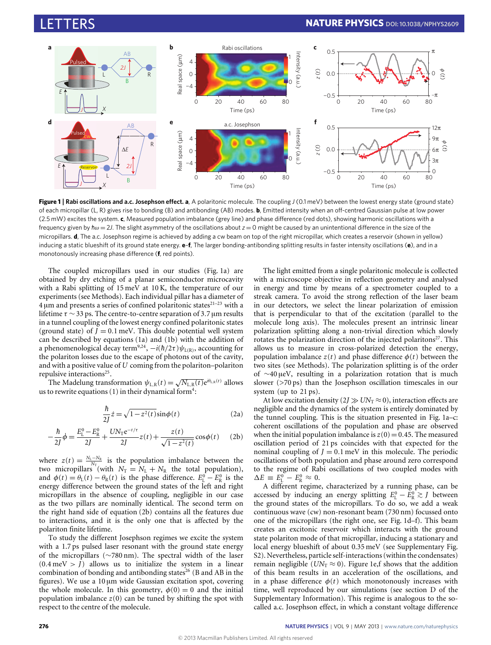

<span id="page-1-0"></span>**Figure 1** | **Rabi oscillations and a.c. Josephson effect. a**, A polaritonic molecule. The coupling *J* (0.1 meV) between the lowest energy state (ground state) of each micropillar (L, R) gives rise to bonding (B) and antibonding (AB) modes. **b**, Emitted intensity when an off-centred Gaussian pulse at low power (2.5 mW) excites the system. **c**, Measured population imbalance (grey line) and phase difference (red dots), showing harmonic oscillations with a frequency given by  $\hbar \omega = 2J$ . The slight asymmetry of the oscillations about  $z = 0$  might be caused by an unintentional difference in the size of the micropillars. **d**, The a.c. Josephson regime is achieved by adding a cw beam on top of the right micropillar, which creates a reservoir (shown in yellow) inducing a static blueshift of its ground state energy. **e**–**f**, The larger bonding-antibonding splitting results in faster intensity oscillations (**e**), and in a monotonously increasing phase difference (**f**, red points).

The coupled micropillars used in our studies [\(Fig.](#page-1-0) [1a](#page-1-0)) are obtained by dry etching of a planar semiconductor microcavity with a Rabi splitting of 15 meV at 10 K, the temperature of our experiments (see Methods). Each individual pillar has a diameter of  $4 \mu m$  and presents a series of confined polaritonic states $21-23$  $21-23$  with a lifetime  $\tau \sim 33$  ps. The centre-to-centre separation of 3.7 µm results in a tunnel coupling of the lowest energy confined polaritonic states (ground state) of  $J = 0.1$  meV. This double potential well system can be described by equations [\(1a\)](#page-0-0) and [\(1b\)](#page-0-1) with the addition of a phenomenological decay term<sup>[9](#page-4-7)[,24](#page-4-20)</sup>,  $-i(\hbar/2\tau)\psi_{L(R)}$ , accounting for the polariton losses due to the escape of photons out of the cavity, and with a positive value of *U* coming from the polariton–polariton repulsive interactions<sup>[25](#page-4-21)</sup>.

ulsive interactions<sup>20</sup>.<br>The Madelung transformation  $\psi_{\text{L,R}}(t) = \sqrt{N_{\text{L,R}}(t)} e^{i\theta_{\text{L,R}}(t)}$  allows us to rewrite equations  $(1)$  in their dynamical form<sup>[4](#page-4-2)</sup>:

$$
\frac{\hbar}{2J}\dot{z} = \sqrt{1 - z^2(t)}\sin\phi(t)
$$
 (2a)

<span id="page-1-1"></span>
$$
-\frac{\hbar}{2J}\dot{\phi} = \frac{E_{L}^{0} - E_{R}^{0}}{2J} + \frac{UN_{T}e^{-t/\tau}}{2J}z(t) + \frac{z(t)}{\sqrt{1 - z^{2}(t)}}\cos\phi(t) \quad (2b)
$$

where  $z(t) = \frac{N_L - N_R}{N_T}$  is the population imbalance between the two micropillars (with  $N_T = N_L + N_R$  the total population), and  $\phi(t) = \theta_L(t) - \theta_R(t)$  is the phase difference.  $E_L^0 - E_R^0$  is the energy difference between the ground states of the left and right micropillars in the absence of coupling, negligible in our case as the two pillars are nominally identical. The second term on the right hand side of equation [\(2b\)](#page-1-1) contains all the features due to interactions, and it is the only one that is affected by the polariton finite lifetime.

To study the different Josephson regimes we excite the system with a 1.7 ps pulsed laser resonant with the ground state energy of the micropillars (∼780 nm). The spectral width of the laser  $(0.4 \text{ meV} > J)$  allows us to initialize the system in a linear combination of bonding and antibonding states<sup>[26](#page-4-22)</sup> (B and AB in the figures). We use a 10 µm wide Gaussian excitation spot, covering the whole molecule. In this geometry,  $\phi(0) = 0$  and the initial population imbalance  $z(0)$  can be tuned by shifting the spot with respect to the centre of the molecule.

The light emitted from a single polaritonic molecule is collected with a microscope objective in reflection geometry and analysed in energy and time by means of a spectrometer coupled to a streak camera. To avoid the strong reflection of the laser beam in our detectors, we select the linear polarization of emission that is perpendicular to that of the excitation (parallel to the molecule long axis). The molecules present an intrinsic linear polarization splitting along a non-trivial direction which slowly rotates the polarization direction of the injected polaritons<sup>[27](#page-4-23)</sup>. This allows us to measure in cross-polarized detection the energy, population imbalance  $z(t)$  and phase difference  $\phi(t)$  between the two sites (see Methods). The polarization splitting is of the order of ∼40 µeV, resulting in a polarization rotation that is much slower (>70 ps) than the Josephson oscillation timescales in our system (up to 21 ps).

At low excitation density  $(2J \gg UN_T \approx 0)$ , interaction effects are negligible and the dynamics of the system is entirely dominated by the tunnel coupling. This is the situation presented in [Fig.](#page-1-0) [1a](#page-1-0)–c: coherent oscillations of the population and phase are observed when the initial population imbalance is  $z(0) = 0.45$ . The measured oscillation period of 21 ps coincides with that expected for the nominal coupling of  $J = 0.1$  meV in this molecule. The periodic oscillations of both population and phase around zero correspond to the regime of Rabi oscillations of two coupled modes with  $\Delta E \equiv E_{\rm L}^0 - E_{\rm R}^0 \approx 0.$ 

A different regime, characterized by a running phase, can be accessed by inducing an energy splitting  $E_L^0 - E_R^0 \gtrsim J$  between the ground states of the micropillars. To do so, we add a weak continuous wave (cw) non-resonant beam (730 nm) focussed onto one of the micropillars (the right one, see [Fig.](#page-1-0) [1d](#page-1-0)–f). This beam creates an excitonic reservoir which interacts with the ground state polariton mode of that micropillar, inducing a stationary and local energy blueshift of about 0.35 meV (see Supplementary Fig. S2). Nevertheless, particle self-interactions (within the condensates) remain negligible ( $UN_T \approx 0$ ). [Figure](#page-1-0) [1e](#page-1-0),f shows that the addition of this beam results in an acceleration of the oscillations, and in a phase difference  $\phi(t)$  which monotonously increases with time, well reproduced by our simulations (see section D of the Supplementary Information). This regime is analogous to the socalled a.c. Josephson effect, in which a constant voltage difference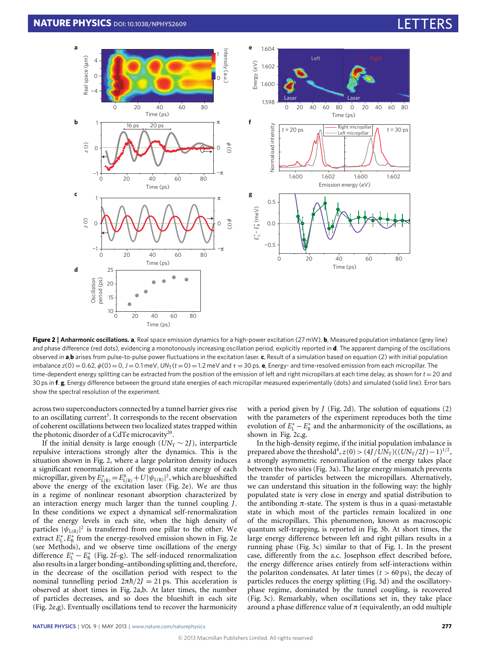

<span id="page-2-0"></span>**Figure 2** | **Anharmonic oscillations. a**, Real space emission dynamics for a high-power excitation (27 mW). **b**, Measured population imbalance (grey line) and phase difference (red dots), evidencing a monotonously increasing oscillation period, explicitly reported in **d**. The apparent damping of the oscillations observed in **a**,**b** arises from pulse-to-pulse power fluctuations in the excitation laser. **c**, Result of a simulation based on equation (2) with initial population imbalance  $z(0) = 0.62$ ,  $\phi(0) = 0$ ,  $J = 0.1$  meV,  $UN_T(t = 0) = 1.2$  meV and  $\tau = 30$  ps. **e**, Energy- and time-resolved emission from each micropillar. The time-dependent energy splitting can be extracted from the position of the emission of left and right micropillars at each time delay, as shown for  $t = 20$  and 30 ps in **f**. **g**, Energy difference between the ground state energies of each micropillar measured experimentally (dots) and simulated (solid line). Error bars show the spectral resolution of the experiment.

across two superconductors connected by a tunnel barrier gives rise to an oscillating current<sup>[3](#page-4-1)</sup>. It corresponds to the recent observation of coherent oscillations between two localized states trapped within the photonic disorder of a CdTe microcavity<sup>[20](#page-4-17)</sup>.

If the initial density is large enough ( $UN<sub>T</sub> \sim 2J$ ), interparticle repulsive interactions strongly alter the dynamics. This is the situation shown in [Fig.](#page-2-0) [2,](#page-2-0) where a large polariton density induces a significant renormalization of the ground state energy of each micropillar, given by  $E_{L(R)}^* = E_{L(R)}^0 + U|\psi_{L(R)}|^2$ , which are blueshifted above the energy of the excitation laser [\(Fig.](#page-2-0) [2e](#page-2-0)). We are thus in a regime of nonlinear resonant absorption characterized by an interaction energy much larger than the tunnel coupling *J*. In these conditions we expect a dynamical self-renormalization of the energy levels in each site, when the high density of particles  $|\psi_{L(R)}|^2$  is transferred from one pillar to the other. We extract  $E_{\rm L}^*, E_{\rm R}^*$  from the energy-resolved emission shown in [Fig.](#page-2-0) [2e](#page-2-0) (see Methods), and we observe time oscillations of the energy difference  $E_L^* - E_R^*$  [\(Fig.](#page-2-0) [2f](#page-2-0)–g). The self-induced renormalization also results in a larger bonding–antibonding splitting and, therefore, in the decrease of the oscillation period with respect to the nominal tunnelling period  $2πh/2J = 21$  ps. This acceleration is observed at short times in [Fig.](#page-2-0) [2a](#page-2-0),b. At later times, the number of particles decreases, and so does the blueshift in each site [\(Fig.](#page-2-0) [2e](#page-2-0),g). Eventually oscillations tend to recover the harmonicity

with a period given by  $J$  [\(Fig.](#page-2-0) [2d](#page-2-0)). The solution of equations  $(2)$ with the parameters of the experiment reproduces both the time evolution of  $E^*_{\text{L}} - E^*_{\text{R}}$  and the anharmonicity of the oscillations, as shown in [Fig.](#page-2-0) [2c](#page-2-0),g.

In the high-density regime, if the initial population imbalance is prepared above the threshold<sup>[4](#page-4-2)</sup>,  $z(0) > (4J/UN_T)((UN_T/2J) - 1)^{1/2}$ , a strongly asymmetric renormalization of the energy takes place between the two sites [\(Fig.](#page-3-1) [3a](#page-3-1)). The large energy mismatch prevents the transfer of particles between the micropillars. Alternatively, we can understand this situation in the following way: the highly populated state is very close in energy and spatial distribution to the antibonding  $π$ -state. The system is thus in a quasi-metastable state in which most of the particles remain localized in one of the micropillars. This phenomenon, known as macroscopic quantum self-trapping, is reported in [Fig.](#page-3-1) [3b](#page-3-1). At short times, the large energy difference between left and right pillars results in a running phase [\(Fig.](#page-3-1) [3c](#page-3-1)) similar to that of [Fig.](#page-1-0) [1.](#page-1-0) In the present case, differently from the a.c. Josephson effect described before, the energy difference arises entirely from self-interactions within the polariton condensates. At later times  $(t > 60 \text{ ps})$ , the decay of particles reduces the energy splitting [\(Fig.](#page-3-1) [3d](#page-3-1)) and the oscillatoryphase regime, dominated by the tunnel coupling, is recovered [\(Fig.](#page-3-1) [3c](#page-3-1)). Remarkably, when oscillations set in, they take place around a phase difference value of  $\pi$  (equivalently, an odd multiple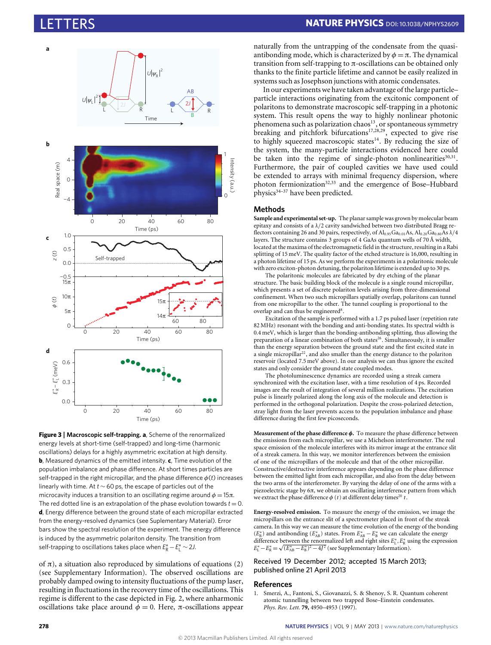

<span id="page-3-1"></span>**Figure 3** | **Macroscopic self-trapping. a**, Scheme of the renormalized energy levels at short-time (self-trapped) and long-time (harmonic oscillations) delays for a highly asymmetric excitation at high density. **b**, Measured dynamics of the emitted intensity. **c**, Time evolution of the population imbalance and phase difference. At short times particles are self-trapped in the right micropillar, and the phase difference  $\phi(t)$  increases linearly with time. At *t* ∼ 60 ps, the escape of particles out of the microcavity induces a transition to an oscillating regime around  $\phi = 15\pi$ . The red dotted line is an extrapolation of the phase evolution towards  $t = 0$ . **d**, Energy difference between the ground state of each micropillar extracted from the energy-resolved dynamics (see Suplementary Material). Error bars show the spectral resolution of the experiment. The energy difference is induced by the asymmetric polariton density. The transition from self-trapping to oscillations takes place when  $E_R^* - E_L^* \sim 2J$ .

of  $\pi$ ), a situation also reproduced by simulations of equations (2) (see Supplementary Information). The observed oscillations are probably damped owing to intensity fluctuations of the pump laser, resulting in fluctuations in the recovery time of the oscillations. This regime is different to the case depicted in [Fig.](#page-2-0) [2,](#page-2-0) where anharmonic oscillations take place around  $\phi = 0$ . Here, π-oscillations appear

naturally from the untrapping of the condensate from the quasiantibonding mode, which is characterized by  $\phi = \pi$ . The dynamical transition from self-trapping to π-oscillations can be obtained only thanks to the finite particle lifetime and cannot be easily realized in systems such as Josephson junctions with atomic condensates.

In our experiments we have taken advantage of the large particle– particle interactions originating from the excitonic component of polaritons to demonstrate macroscopic self-trapping in a photonic system. This result opens the way to highly nonlinear photonic phenomena such as polarization chaos<sup>[13](#page-4-10)</sup>, or spontaneous symmetry breaking and pitchfork bifurcations<sup>[17,](#page-4-14)[28](#page-4-24)[,29](#page-4-25)</sup>, expected to give rise to highly squeezed macroscopic states<sup>[14](#page-4-11)</sup>. By reducing the size of the system, the many-particle interactions evidenced here could be taken into the regime of single-photon nonlinearities<sup>[30,](#page-4-26)[31](#page-4-27)</sup>. Furthermore, the pair of coupled cavities we have used could be extended to arrays with minimal frequency dispersion, where photon fermionization<sup>[32,](#page-4-28)[33](#page-4-29)</sup> and the emergence of Bose–Hubbard physics $34-37$  $34-37$  have been predicted.

### **Methods**

**Sample and experimental set-up.** The planar sample was grown by molecular beam epitaxy and consists of a  $\lambda/2$  cavity sandwiched between two distributed Bragg reflectors containing 26 and 30 pairs, respectively, of  $Al_{0.95}Ga_{0.01}As$ ,  $Al_{0.20}Ga_{0.80}As \lambda/4$ layers. The structure contains 3 groups of 4 GaAs quantum wells of 70 Å width, located at the maxima of the electromagnetic field in the structure, resulting in a Rabi splitting of 15 meV. The quality factor of the etched structure is 16,000, resulting in a photon lifetime of 15 ps. As we perform the experiments in a polaritonic molecule with zero exciton-photon detuning, the polariton lifetime is extended up to 30 ps.

The polaritonic molecules are fabricated by dry etching of the planar structure. The basic building block of the molecule is a single round micropillar, which presents a set of discrete polariton levels arising from three-dimensional confinement. When two such micropillars spatially overlap, polaritons can tunnel from one micropillar to the other. The tunnel coupling is proportional to the overlap and can thus be engineered<sup>[8](#page-4-6)</sup>.

Excitation of the sample is performed with a 1.7 ps pulsed laser (repetition rate 82 MHz) resonant with the bonding and anti-bonding states. Its spectral width is 0.4 meV, which is larger than the bonding-antibonding splitting, thus allowing the preparation of a linear combination of both states<sup>[26](#page-4-22)</sup>. Simultaneously, it is smaller than the energy separation between the ground state and the first excited state in a single micropillar<sup>[22](#page-4-32)</sup>, and also smaller than the energy distance to the polariton reservoir (located 7.5 meV above). In our analysis we can thus ignore the excited states and only consider the ground state coupled modes.

The photoluminescence dynamics are recorded using a streak camera synchronized with the excitation laser, with a time resolution of 4 ps. Recorded images are the result of integration of several million realizations. The excitation pulse is linearly polarized along the long axis of the molecule and detection is performed in the orthogonal polarization. Despite the cross-polarized detection, stray light from the laser prevents access to the population imbalance and phase difference during the first few picoseconds.

**Measurement of the phase difference** φ**.** To measure the phase difference between the emissions from each micropillar, we use a Michelson interferometer. The real space emission of the molecule interferes with its mirror image at the entrance slit of a streak camera. In this way, we monitor interferences between the emission of one of the micropillars of the molecule and that of the other micropillar. Constructive/destructive interference appears depending on the phase difference between the emitted light from each micropillar, and also from the delay between the two arms of the interferometer. By varying the delay of one of the arms with a piezoelectric stage by 6π, we obtain an oscillating interference pattern from which we extract the phase difference  $\phi(t)$  at different delay times<sup>[20](#page-4-17)</sup> t.

**Energy-resolved emission.** To measure the energy of the emission, we image the micropillars on the entrance slit of a spectrometer placed in front of the streak camera. In this way we can measure the time evolution of the energy of the bonding  $(E_{\rm B}^*)$  and antibonding  $(E_{\rm AB}^*)$  states. From  $E_{\rm AB}^*-E_{\rm B}^*$  we can calculate the energy difference between the renormalized left and right sites  $E_{\text{L}}^{*}$ ,  $E_{\text{R}}^{*}$  using the expression  $E_L^* - E_R^* = \sqrt{(E_{AB}^* - E_B^*)^2 - 4J^2}$  (see Supplementary Information).

## Received 19 December 2012; accepted 15 March 2013; published online 21 April 2013

#### **References**

<span id="page-3-0"></span>1. Smerzi, A., Fantoni, S., Giovanazzi, S. & Shenoy, S. R. Quantum coherent atomic tunnelling between two trapped Bose–Einstein condensates. *Phys. Rev. Lett.* **79,** 4950–4953 (1997).